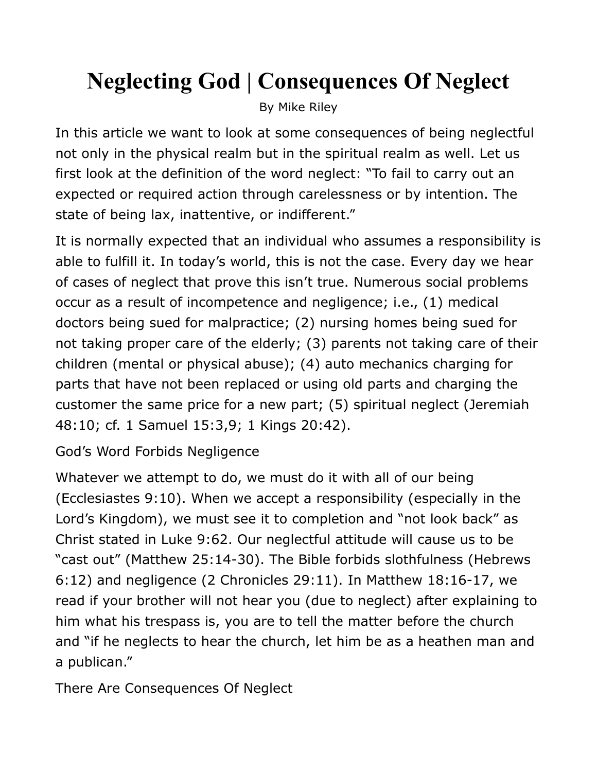## **Neglecting God | Consequences Of Neglect**

By Mike Riley

In this article we want to look at some consequences of being neglectful not only in the physical realm but in the spiritual realm as well. Let us first look at the definition of the word neglect: "To fail to carry out an expected or required action through carelessness or by intention. The state of being lax, inattentive, or indifferent."

It is normally expected that an individual who assumes a responsibility is able to fulfill it. In today's world, this is not the case. Every day we hear of cases of neglect that prove this isn't true. Numerous social problems occur as a result of incompetence and negligence; i.e., (1) medical doctors being sued for malpractice; (2) nursing homes being sued for not taking proper care of the elderly; (3) parents not taking care of their children (mental or physical abuse); (4) auto mechanics charging for parts that have not been replaced or using old parts and charging the customer the same price for a new part; (5) spiritual neglect (Jeremiah 48:10; cf. 1 Samuel 15:3,9; 1 Kings 20:42).

God's Word Forbids Negligence

Whatever we attempt to do, we must do it with all of our being (Ecclesiastes 9:10). When we accept a responsibility (especially in the Lord's Kingdom), we must see it to completion and "not look back" as Christ stated in Luke 9:62. Our neglectful attitude will cause us to be "cast out" (Matthew 25:14-30). The Bible forbids slothfulness (Hebrews 6:12) and negligence (2 Chronicles 29:11). In Matthew 18:16-17, we read if your brother will not hear you (due to neglect) after explaining to him what his trespass is, you are to tell the matter before the church and "if he neglects to hear the church, let him be as a heathen man and a publican."

There Are Consequences Of Neglect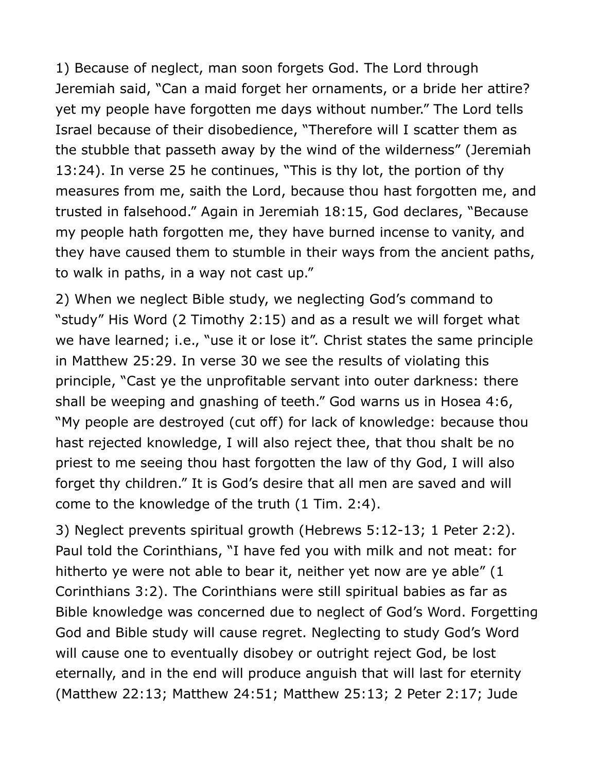1) Because of neglect, man soon forgets God. The Lord through Jeremiah said, "Can a maid forget her ornaments, or a bride her attire? yet my people have forgotten me days without number." The Lord tells Israel because of their disobedience, "Therefore will I scatter them as the stubble that passeth away by the wind of the wilderness" (Jeremiah 13:24). In verse 25 he continues, "This is thy lot, the portion of thy measures from me, saith the Lord, because thou hast forgotten me, and trusted in falsehood." Again in Jeremiah 18:15, God declares, "Because my people hath forgotten me, they have burned incense to vanity, and they have caused them to stumble in their ways from the ancient paths, to walk in paths, in a way not cast up."

2) When we neglect Bible study, we neglecting God's command to "study" His Word (2 Timothy 2:15) and as a result we will forget what we have learned; i.e., "use it or lose it". Christ states the same principle in Matthew 25:29. In verse 30 we see the results of violating this principle, "Cast ye the unprofitable servant into outer darkness: there shall be weeping and gnashing of teeth." God warns us in Hosea 4:6, "My people are destroyed (cut off) for lack of knowledge: because thou hast rejected knowledge, I will also reject thee, that thou shalt be no priest to me seeing thou hast forgotten the law of thy God, I will also forget thy children." It is God's desire that all men are saved and will come to the knowledge of the truth (1 Tim. 2:4).

3) Neglect prevents spiritual growth (Hebrews 5:12-13; 1 Peter 2:2). Paul told the Corinthians, "I have fed you with milk and not meat: for hitherto ye were not able to bear it, neither yet now are ye able" (1 Corinthians 3:2). The Corinthians were still spiritual babies as far as Bible knowledge was concerned due to neglect of God's Word. Forgetting God and Bible study will cause regret. Neglecting to study God's Word will cause one to eventually disobey or outright reject God, be lost eternally, and in the end will produce anguish that will last for eternity (Matthew 22:13; Matthew 24:51; Matthew 25:13; 2 Peter 2:17; Jude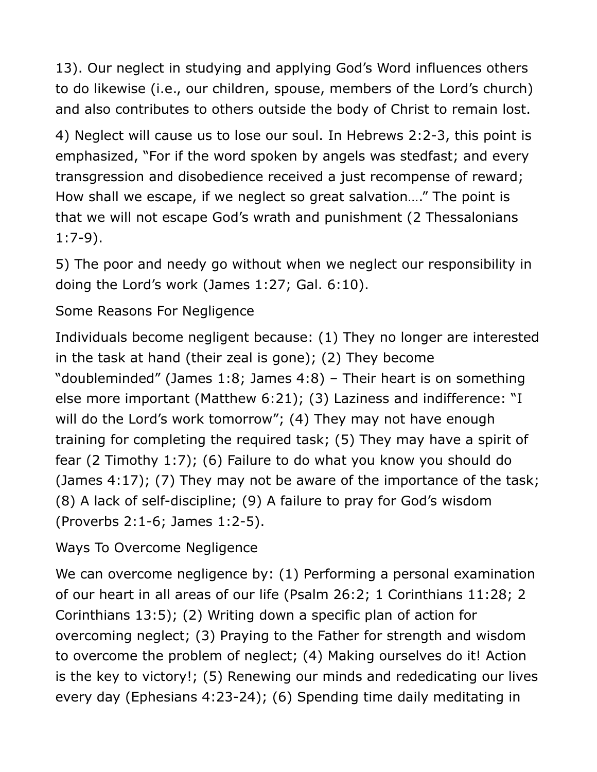13). Our neglect in studying and applying God's Word influences others to do likewise (i.e., our children, spouse, members of the Lord's church) and also contributes to others outside the body of Christ to remain lost.

4) Neglect will cause us to lose our soul. In Hebrews 2:2-3, this point is emphasized, "For if the word spoken by angels was stedfast; and every transgression and disobedience received a just recompense of reward; How shall we escape, if we neglect so great salvation…." The point is that we will not escape God's wrath and punishment (2 Thessalonians 1:7-9).

5) The poor and needy go without when we neglect our responsibility in doing the Lord's work (James 1:27; Gal. 6:10).

## Some Reasons For Negligence

Individuals become negligent because: (1) They no longer are interested in the task at hand (their zeal is gone); (2) They become "doubleminded" (James 1:8; James 4:8) – Their heart is on something else more important (Matthew 6:21); (3) Laziness and indifference: "I will do the Lord's work tomorrow"; (4) They may not have enough training for completing the required task; (5) They may have a spirit of fear (2 Timothy 1:7); (6) Failure to do what you know you should do (James 4:17); (7) They may not be aware of the importance of the task; (8) A lack of self-discipline; (9) A failure to pray for God's wisdom (Proverbs 2:1-6; James 1:2-5).

Ways To Overcome Negligence

We can overcome negligence by: (1) Performing a personal examination of our heart in all areas of our life (Psalm 26:2; 1 Corinthians 11:28; 2 Corinthians 13:5); (2) Writing down a specific plan of action for overcoming neglect; (3) Praying to the Father for strength and wisdom to overcome the problem of neglect; (4) Making ourselves do it! Action is the key to victory!; (5) Renewing our minds and rededicating our lives every day (Ephesians 4:23-24); (6) Spending time daily meditating in